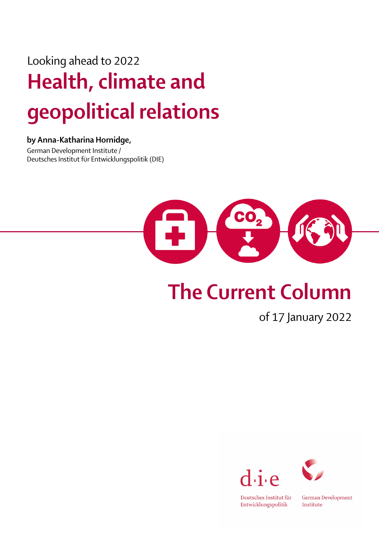## Looking ahead to 2022 Health, climate and geopolitical relations

## by Anna-Katharina Hornidge,

German Development Institute / Deutsches Institut für Entwicklungspolitik (DIE)



## The Current Column

of 17 January 2022





Deutsches Institut für Entwicklungspolitik

**German Development** Institute